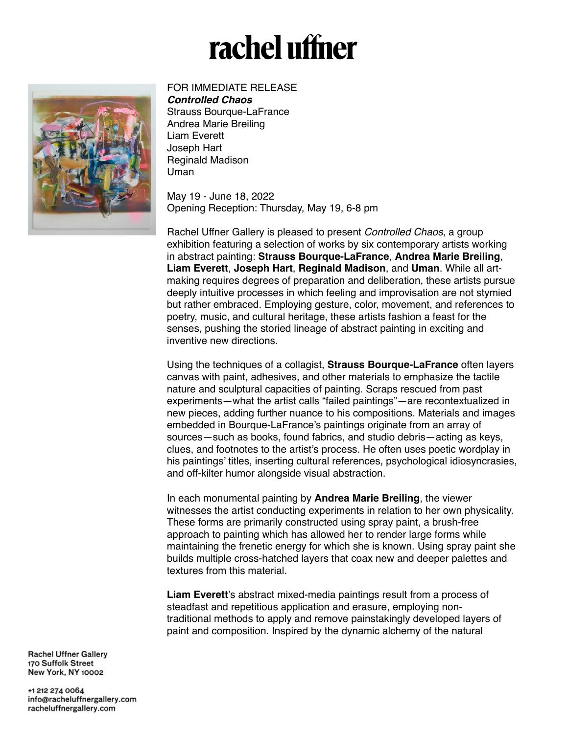## rachel uffner



## FOR IMMEDIATE RELEASE

*Controlled Chaos* Strauss Bourque-LaFrance Andrea Marie Breiling Liam Everett Joseph Hart Reginald Madison Uman

May 19 - June 18, 2022 Opening Reception: Thursday, May 19, 6-8 pm

Rachel Uffner Gallery is pleased to present *Controlled Chaos*, a group exhibition featuring a selection of works by six contemporary artists working in abstract painting: **Strauss Bourque-LaFrance**, **Andrea Marie Breiling**, **Liam Everett**, **Joseph Hart**, **Reginald Madison**, and **Uman**. While all artmaking requires degrees of preparation and deliberation, these artists pursue deeply intuitive processes in which feeling and improvisation are not stymied but rather embraced. Employing gesture, color, movement, and references to poetry, music, and cultural heritage, these artists fashion a feast for the senses, pushing the storied lineage of abstract painting in exciting and inventive new directions.

Using the techniques of a collagist, **Strauss Bourque-LaFrance** often layers canvas with paint, adhesives, and other materials to emphasize the tactile nature and sculptural capacities of painting. Scraps rescued from past experiments—what the artist calls "failed paintings"—are recontextualized in new pieces, adding further nuance to his compositions. Materials and images embedded in Bourque-LaFrance's paintings originate from an array of sources—such as books, found fabrics, and studio debris—acting as keys, clues, and footnotes to the artist's process. He often uses poetic wordplay in his paintings' titles, inserting cultural references, psychological idiosyncrasies, and off-kilter humor alongside visual abstraction.

In each monumental painting by **Andrea Marie Breiling**, the viewer witnesses the artist conducting experiments in relation to her own physicality. These forms are primarily constructed using spray paint, a brush-free approach to painting which has allowed her to render large forms while maintaining the frenetic energy for which she is known. Using spray paint she builds multiple cross-hatched layers that coax new and deeper palettes and textures from this material.

**Liam Everett**'s abstract mixed-media paintings result from a process of steadfast and repetitious application and erasure, employing nontraditional methods to apply and remove painstakingly developed layers of paint and composition. Inspired by the dynamic alchemy of the natural

**Rachel Uffner Gallerv** 170 Suffolk Street **New York, NY 10002** 

+1 212 274 0064 info@racheluffnergallery.com racheluffnergallery.com